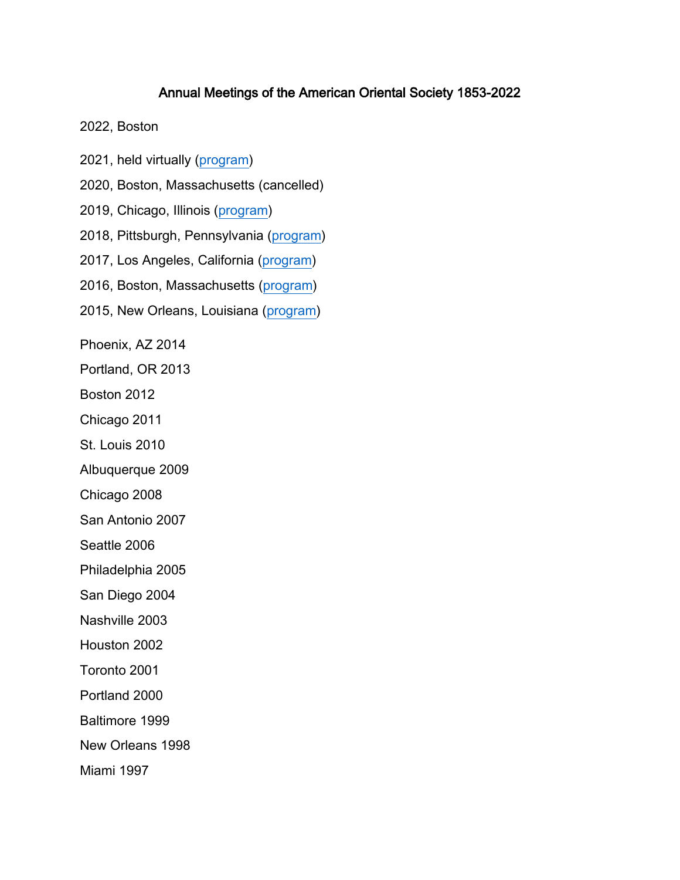## Annual Meetings of the American Oriental Society 1853-2022

## 2022, Boston

- 2021, held virtually [\(program\)](https://www.americanorientalsociety.org/wp-content/uploads/2021/09/AOSProgram2021.pdf)
- 2020, Boston, Massachusetts (cancelled)
- 2019, Chicago, Illinois [\(program\)](https://www.americanorientalsociety.org/wp-content/uploads/2019/03/AOSPRogram2019_030719.pdf)
- 2018, Pittsburgh, Pennsylvania [\(program\)](https://www.americanorientalsociety.org/wp-content/uploads/2018/03/AOSProgram2018.pdf)
- 2017, Los Angeles, California [\(program\)](https://www.americanorientalsociety.org/wp-content/uploads/2014/12/AOSProgram2017.5.pdf)
- 2016, Boston, Massachusetts [\(program\)](http://amerorientsoc.wpengine.com/wp-content/uploads/2014/12/AOSProgram2016final.pdf)
- 2015, New Orleans, Louisiana [\(program\)](http://amerorientsoc.wpengine.com/wp-content/uploads/2015/08/AOSProgram2015.pdf)
- Phoenix, AZ 2014
- Portland, OR 2013
- Boston 2012
- Chicago 2011
- St. Louis 2010
- Albuquerque 2009
- Chicago 2008
- San Antonio 2007
- Seattle 2006
- Philadelphia 2005
- San Diego 2004
- Nashville 2003
- Houston 2002
- Toronto 2001
- Portland 2000
- Baltimore 1999
- New Orleans 1998
- Miami 1997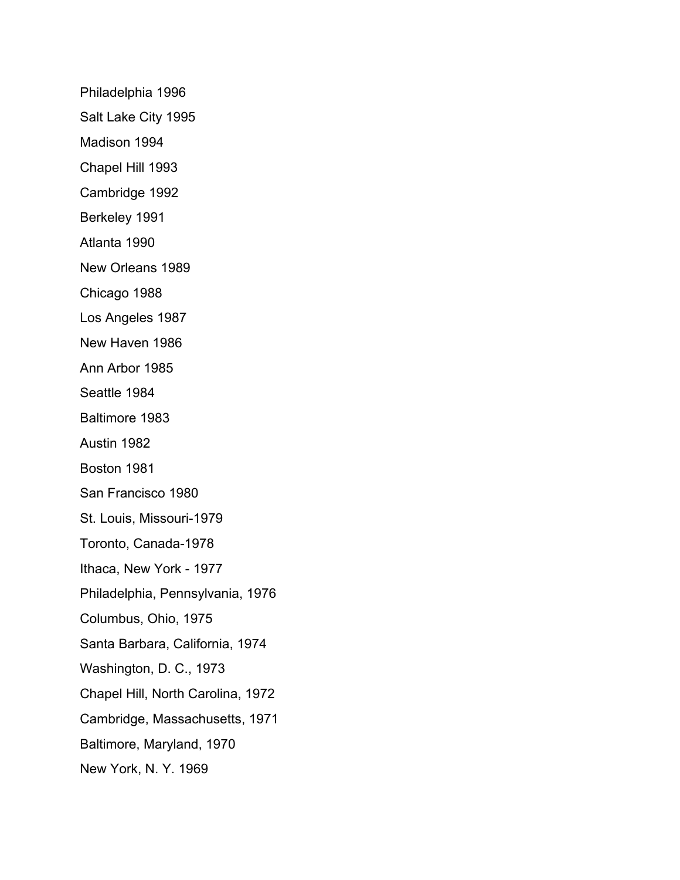Philadelphia 1996

Salt Lake City 1995

Madison 1994

Chapel Hill 1993

Cambridge 1992

Berkeley 1991

Atlanta 1990

New Orleans 1989

Chicago 1988

Los Angeles 1987

New Haven 1986

Ann Arbor 1985

Seattle 1984

Baltimore 1983

Austin 1982

Boston 1981

San Francisco 1980

St. Louis, Missouri-1979

Toronto, Canada-1978

Ithaca, New York - 1977

Philadelphia, Pennsylvania, 1976

Columbus, Ohio, 1975

Santa Barbara, California, 1974

Washington, D. C., 1973

Chapel Hill, North Carolina, 1972

Cambridge, Massachusetts, 1971

Baltimore, Maryland, 1970

New York, N. Y. 1969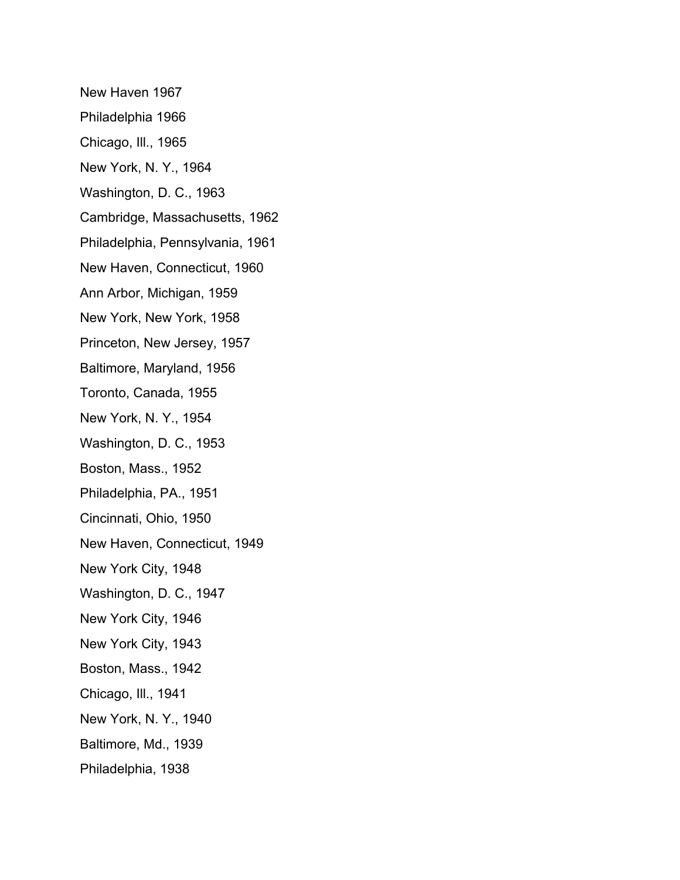New Haven 1967

- Philadelphia 1966
- Chicago, Ill., 1965
- New York, N. Y., 1964
- Washington, D. C., 1963
- Cambridge, Massachusetts, 1962
- Philadelphia, Pennsylvania, 1961
- New Haven, Connecticut, 1960
- Ann Arbor, Michigan, 1959
- New York, New York, 1958
- Princeton, New Jersey, 1957
- Baltimore, Maryland, 1956
- Toronto, Canada, 1955
- New York, N. Y., 1954
- Washington, D. C., 1953
- Boston, Mass., 1952
- Philadelphia, PA., 1951
- Cincinnati, Ohio, 1950
- New Haven, Connecticut, 1949
- New York City, 1948
- Washington, D. C., 1947
- New York City, 1946
- New York City, 1943
- Boston, Mass., 1942
- Chicago, Ill., 1941
- New York, N. Y., 1940
- Baltimore, Md., 1939
- Philadelphia, 1938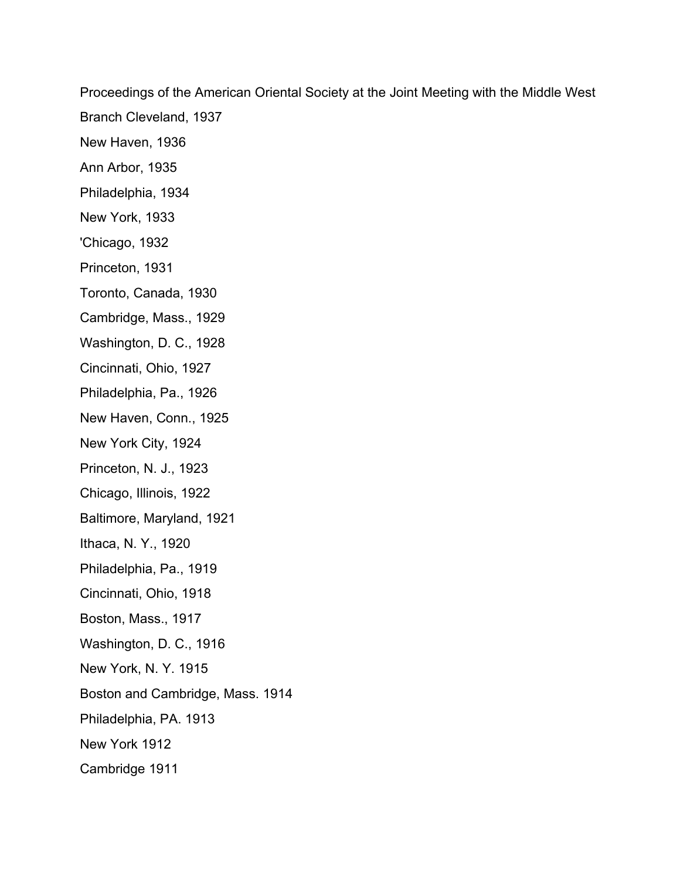Proceedings of the American Oriental Society at the Joint Meeting with the Middle West

Branch Cleveland, 1937

New Haven, 1936

Ann Arbor, 1935

Philadelphia, 1934

New York, 1933

'Chicago, 1932

Princeton, 1931

Toronto, Canada, 1930

Cambridge, Mass., 1929

Washington, D. C., 1928

Cincinnati, Ohio, 1927

Philadelphia, Pa., 1926

New Haven, Conn., 1925

New York City, 1924

Princeton, N. J., 1923

Chicago, Illinois, 1922

Baltimore, Maryland, 1921

Ithaca, N. Y., 1920

Philadelphia, Pa., 1919

Cincinnati, Ohio, 1918

Boston, Mass., 1917

Washington, D. C., 1916

New York, N. Y. 1915

Boston and Cambridge, Mass. 1914

Philadelphia, PA. 1913

New York 1912

Cambridge 1911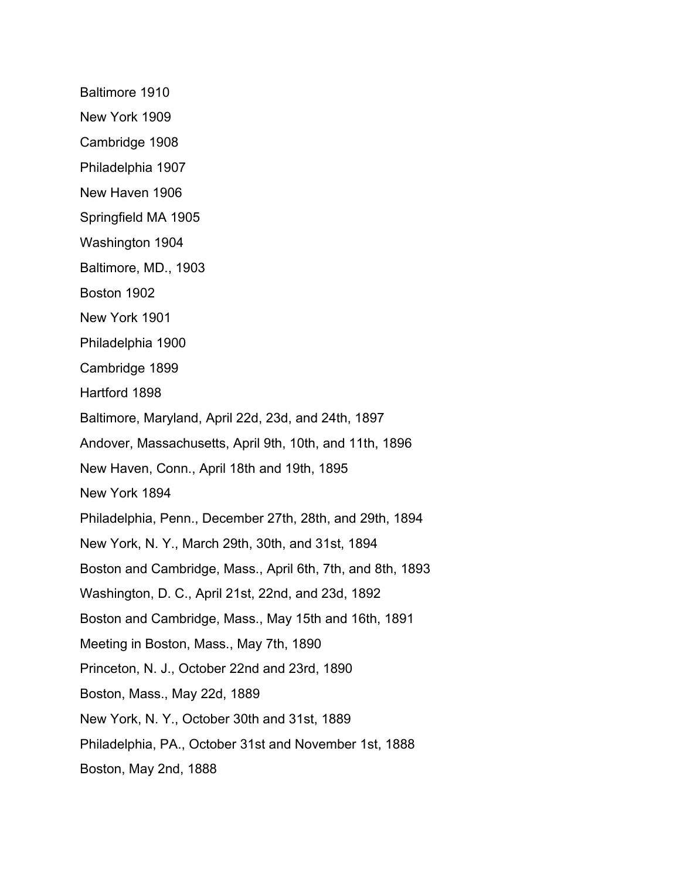Baltimore 1910

New York 1909

Cambridge 1908

Philadelphia 1907

New Haven 1906

Springfield MA 1905

Washington 1904

Baltimore, MD., 1903

Boston 1902

New York 1901

Philadelphia 1900

Cambridge 1899

Hartford 1898

Baltimore, Maryland, April 22d, 23d, and 24th, 1897

Andover, Massachusetts, April 9th, 10th, and 11th, 1896

New Haven, Conn., April 18th and 19th, 1895

New York 1894

Philadelphia, Penn., December 27th, 28th, and 29th, 1894

New York, N. Y., March 29th, 30th, and 31st, 1894

Boston and Cambridge, Mass., April 6th, 7th, and 8th, 1893

Washington, D. C., April 21st, 22nd, and 23d, 1892

Boston and Cambridge, Mass., May 15th and 16th, 1891

Meeting in Boston, Mass., May 7th, 1890

Princeton, N. J., October 22nd and 23rd, 1890

Boston, Mass., May 22d, 1889

New York, N. Y., October 30th and 31st, 1889

Philadelphia, PA., October 31st and November 1st, 1888

Boston, May 2nd, 1888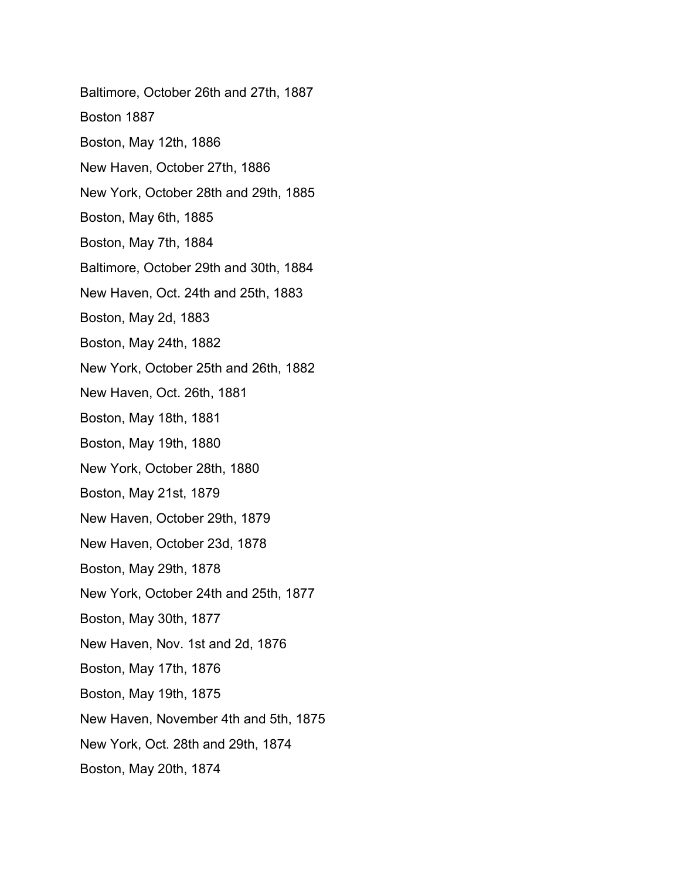Baltimore, October 26th and 27th, 1887 Boston 1887 Boston, May 12th, 1886 New Haven, October 27th, 1886 New York, October 28th and 29th, 1885 Boston, May 6th, 1885 Boston, May 7th, 1884 Baltimore, October 29th and 30th, 1884 New Haven, Oct. 24th and 25th, 1883 Boston, May 2d, 1883 Boston, May 24th, 1882 New York, October 25th and 26th, 1882 New Haven, Oct. 26th, 1881 Boston, May 18th, 1881 Boston, May 19th, 1880 New York, October 28th, 1880 Boston, May 21st, 1879 New Haven, October 29th, 1879 New Haven, October 23d, 1878 Boston, May 29th, 1878 New York, October 24th and 25th, 1877 Boston, May 30th, 1877 New Haven, Nov. 1st and 2d, 1876 Boston, May 17th, 1876 Boston, May 19th, 1875 New Haven, November 4th and 5th, 1875 New York, Oct. 28th and 29th, 1874 Boston, May 20th, 1874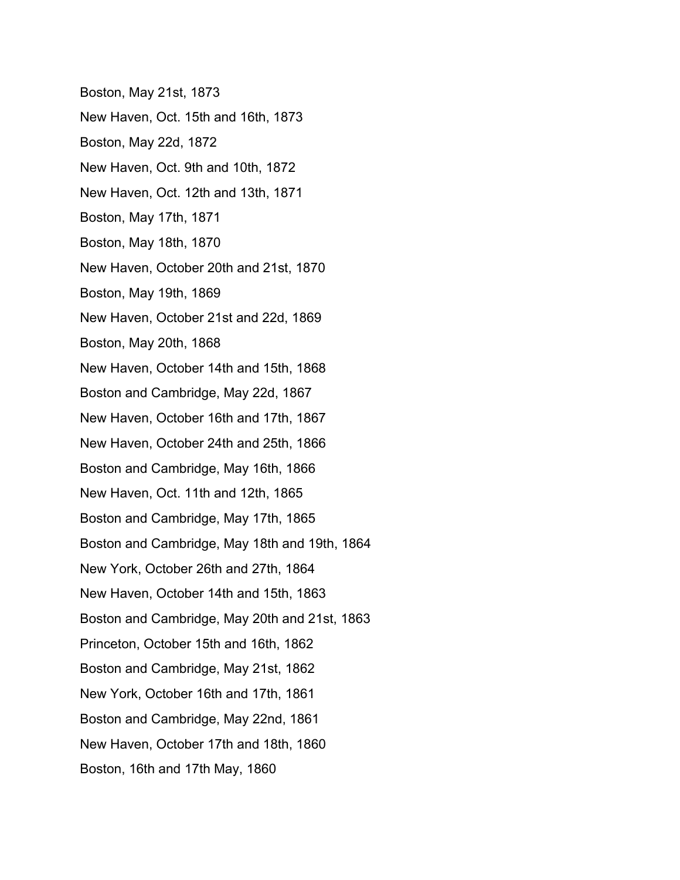Boston, May 21st, 1873 New Haven, Oct. 15th and 16th, 1873 Boston, May 22d, 1872 New Haven, Oct. 9th and 10th, 1872 New Haven, Oct. 12th and 13th, 1871 Boston, May 17th, 1871 Boston, May 18th, 1870 New Haven, October 20th and 21st, 1870 Boston, May 19th, 1869 New Haven, October 21st and 22d, 1869 Boston, May 20th, 1868 New Haven, October 14th and 15th, 1868 Boston and Cambridge, May 22d, 1867 New Haven, October 16th and 17th, 1867 New Haven, October 24th and 25th, 1866 Boston and Cambridge, May 16th, 1866 New Haven, Oct. 11th and 12th, 1865 Boston and Cambridge, May 17th, 1865 Boston and Cambridge, May 18th and 19th, 1864 New York, October 26th and 27th, 1864 New Haven, October 14th and 15th, 1863 Boston and Cambridge, May 20th and 21st, 1863 Princeton, October 15th and 16th, 1862 Boston and Cambridge, May 21st, 1862 New York, October 16th and 17th, 1861 Boston and Cambridge, May 22nd, 1861 New Haven, October 17th and 18th, 1860 Boston, 16th and 17th May, 1860